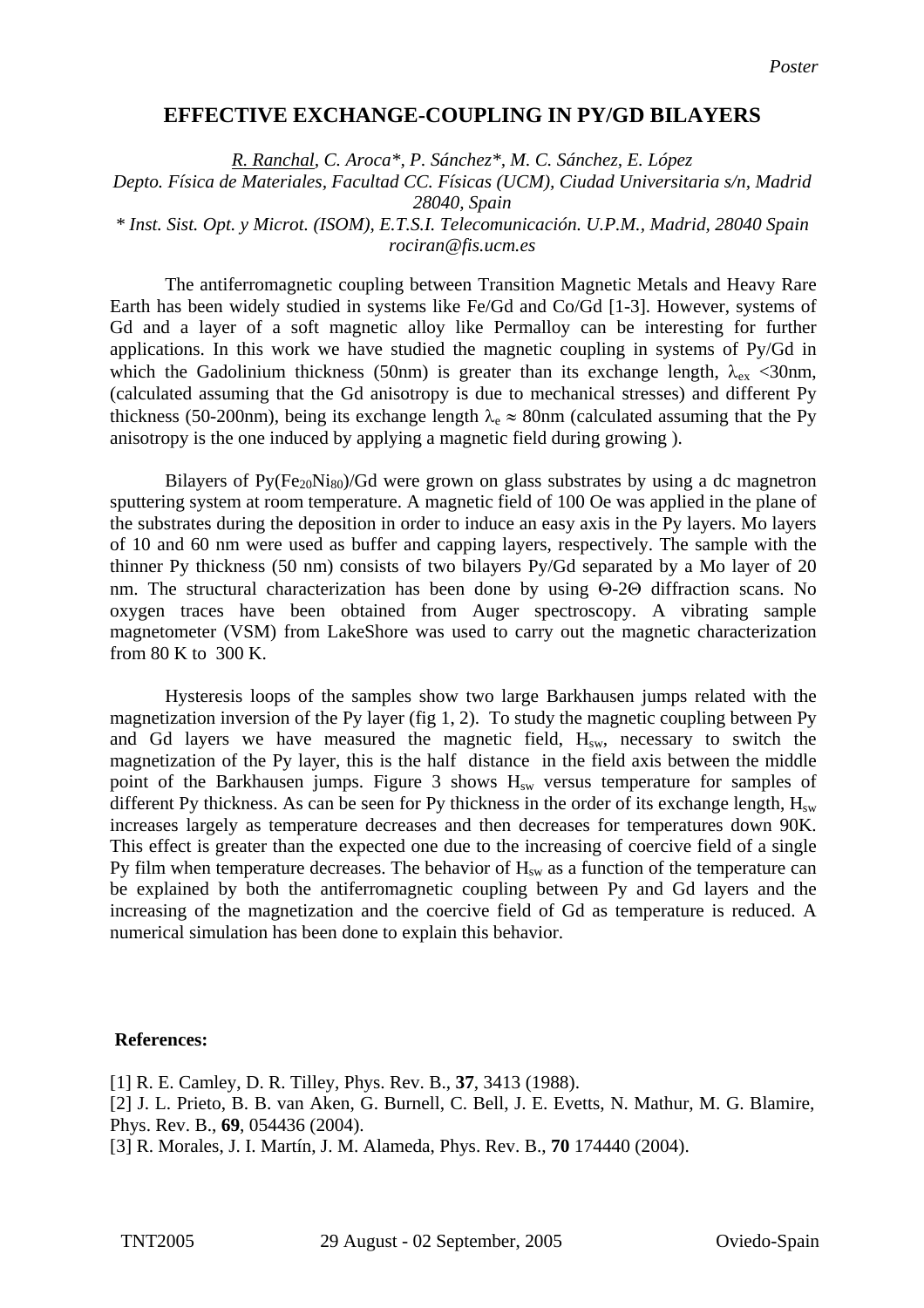## **EFFECTIVE EXCHANGE-COUPLING IN PY/GD BILAYERS**

*[R. Ranchal, C. Aroca\\*, P. Sánchez\\*, M. C. Sánchez, E. López](mailto:Contact@E-mail)  [Depto. Física de Materiales, Facultad CC. Físicas \(UCM\), Ciudad Universitaria s/n, Madrid](mailto:Contact@E-mail)  [28040, Spain](mailto:Contact@E-mail)  [\\* Inst. Sist. Opt. y Microt. \(ISOM\), E.T.S.I. Telecomunicación. U.P.M., Madrid, 28040 Spain](mailto:Contact@E-mail)  [rociran@fis.ucm.es](mailto:Contact@E-mail)*

The antiferromagnetic coupling between Transition Magnetic Metals and Heavy Rare Earth has been widely studied in systems like Fe/Gd and Co/Gd [1-3]. However, systems of Gd and a layer of a soft magnetic alloy like Permalloy can be interesting for further applications. In this work we have studied the magnetic coupling in systems of Py/Gd in which the Gadolinium thickness (50nm) is greater than its exchange length,  $\lambda_{ex}$  <30nm, (calculated assuming that the Gd anisotropy is due to mechanical stresses) and different Py thickness (50-200nm), being its exchange length  $\lambda_e \approx 80$ nm (calculated assuming that the Py anisotropy is the one induced by applying a magnetic field during growing ).

Bilayers of  $Py(Fe_{20}Ni_{80})/Gd$  were grown on glass substrates by using a dc magnetron sputtering system at room temperature. A magnetic field of 100 Oe was applied in the plane of the substrates during the deposition in order to induce an easy axis in the Py layers. Mo layers of 10 and 60 nm were used as buffer and capping layers, respectively. The sample with the thinner Py thickness (50 nm) consists of two bilayers Py/Gd separated by a Mo layer of 20 nm. The structural characterization has been done by using Θ-2Θ diffraction scans. No oxygen traces have been obtained from Auger spectroscopy. A vibrating sample magnetometer (VSM) from LakeShore was used to carry out the magnetic characterization from 80 K to 300 K.

Hysteresis loops of the samples show two large Barkhausen jumps related with the magnetization inversion of the Py layer (fig 1, 2). To study the magnetic coupling between Py and Gd layers we have measured the magnetic field,  $H_{sw}$ , necessary to switch the magnetization of the Py layer, this is the half distance in the field axis between the middle point of the Barkhausen jumps. Figure  $3$  shows  $H<sub>sw</sub>$  versus temperature for samples of different Py thickness. As can be seen for Py thickness in the order of its exchange length,  $H_{sw}$ increases largely as temperature decreases and then decreases for temperatures down 90K. This effect is greater than the expected one due to the increasing of coercive field of a single Py film when temperature decreases. The behavior of  $H<sub>sw</sub>$  as a function of the temperature can be explained by both the antiferromagnetic coupling between Py and Gd layers and the increasing of the magnetization and the coercive field of Gd as temperature is reduced. A numerical simulation has been done to explain this behavior.

## **References:**

[1] R. E. Camley, D. R. Tilley, Phys. Rev. B., **37**, 3413 (1988).

[2] J. L. Prieto, B. B. van Aken, G. Burnell, C. Bell, J. E. Evetts, N. Mathur, M. G. Blamire, Phys. Rev. B., **69**, 054436 (2004).

[3] R. Morales, J. I. Martín, J. M. Alameda, Phys. Rev. B., **70** 174440 (2004).